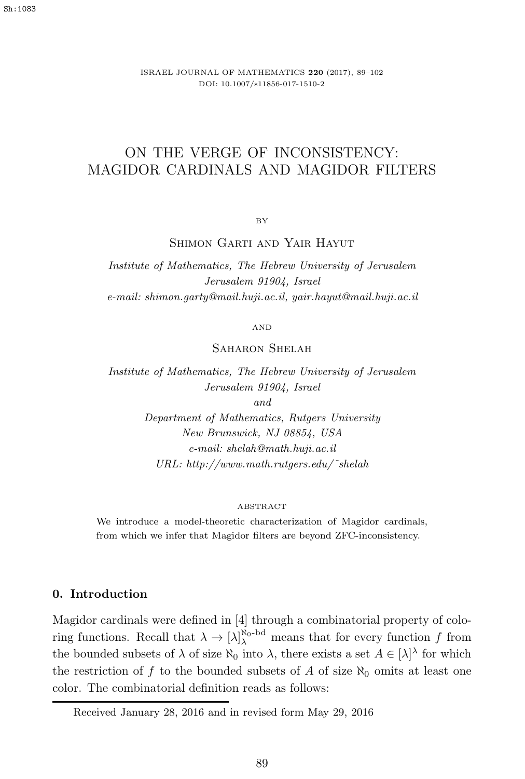ISRAEL JOURNAL OF MATHEMATICS **220** (2017), 89–102 DOI: 10.1007/s11856-017-1510-2

# ON THE VERGE OF INCONSISTENCY: MAGIDOR CARDINALS AND MAGIDOR FILTERS

BY

SHIMON GARTI AND YAIR HAYUT

*Institute of Mathematics, The Hebrew University of Jerusalem Jerusalem 91904, Israel e-mail: shimon.garty@mail.huji.ac.il, yair.hayut@mail.huji.ac.il*

AND

SAHARON SHELAH

*Institute of Mathematics, The Hebrew University of Jerusalem Jerusalem 91904, Israel*

*and*

*Department of Mathematics, Rutgers University New Brunswick, NJ 08854, USA e-mail: shelah@math.huji.ac.il URL: http://www.math.rutgers.edu/˜shelah*

#### ABSTRACT

We introduce a model-theoretic characterization of Magidor cardinals, from which we infer that Magidor filters are beyond ZFC-inconsistency.

# **0. Introduction**

Magidor cardinals were defined in [4] through a combinatorial property of coloring functions. Recall that  $\lambda \to [\lambda]_{\lambda}^{\aleph_0 - \text{bd}}$  means that for every function f from the bounded subsets of  $\lambda$  of size  $\aleph_0$  into  $\lambda$ , there exists a set  $A \in [\lambda]^{\lambda}$  for which the restriction of f to the bounded subsets of A of size  $\aleph_0$  omits at least one color. The combinatorial definition reads as follows:

Received January 28, 2016 and in revised form May 29, 2016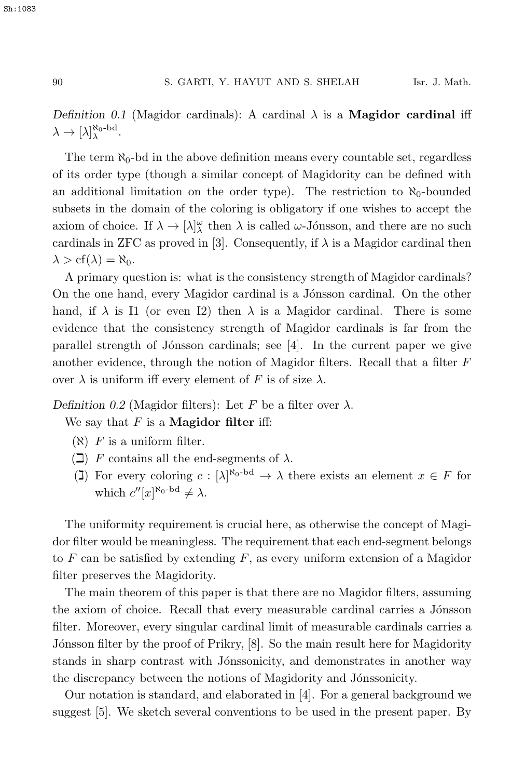*Definition 0.1* (Magidor cardinals): A cardinal  $\lambda$  is a **Magidor cardinal** iff  $\lambda \to [\lambda]_{\lambda}^{\aleph_0 - \mathrm{bd}}.$ 

The term  $\aleph_0$ -bd in the above definition means every countable set, regardless of its order type (though a similar concept of Magidority can be defined with an additional limitation on the order type). The restriction to  $\aleph_0$ -bounded subsets in the domain of the coloring is obligatory if one wishes to accept the axiom of choice. If  $\lambda \to [\lambda]_{\lambda}^{\omega}$  then  $\lambda$  is called  $\omega$ -Jónsson, and there are no such cardinals in ZFC as proved in [3]. Consequently, if  $\lambda$  is a Magidor cardinal then  $\lambda > cf(\lambda) = \aleph_0$ .

A primary question is: what is the consistency strength of Magidor cardinals? On the one hand, every Magidor cardinal is a Jónsson cardinal. On the other hand, if  $\lambda$  is I1 (or even I2) then  $\lambda$  is a Magidor cardinal. There is some evidence that the consistency strength of Magidor cardinals is far from the parallel strength of Jónsson cardinals; see  $[4]$ . In the current paper we give another evidence, through the notion of Magidor filters. Recall that a filter F over  $\lambda$  is uniform iff every element of F is of size  $\lambda$ .

*Definition 0.2* (Magidor filters): Let F be a filter over  $\lambda$ .

We say that F is a **Magidor filter** iff:

- $(\aleph)$  F is a uniform filter.
- $(\Box)$  F contains all the end-segments of  $\lambda$ .
- (J) For every coloring  $c : [\lambda]^{\aleph_0 \text{bd}} \to \lambda$  there exists an element  $x \in F$  for which  $c''[x]^{\aleph_0-\mathrm{bd}} \neq \lambda$ .

The uniformity requirement is crucial here, as otherwise the concept of Magidor filter would be meaningless. The requirement that each end-segment belongs to  $F$  can be satisfied by extending  $F$ , as every uniform extension of a Magidor filter preserves the Magidority.

The main theorem of this paper is that there are no Magidor filters, assuming the axiom of choice. Recall that every measurable cardinal carries a Jónsson filter. Moreover, every singular cardinal limit of measurable cardinals carries a Jónsson filter by the proof of Prikry, [8]. So the main result here for Magidority stands in sharp contrast with Jónssonicity, and demonstrates in another way the discrepancy between the notions of Magidority and Jónssonicity.

Our notation is standard, and elaborated in [4]. For a general background we suggest [5]. We sketch several conventions to be used in the present paper. By

Sh:1083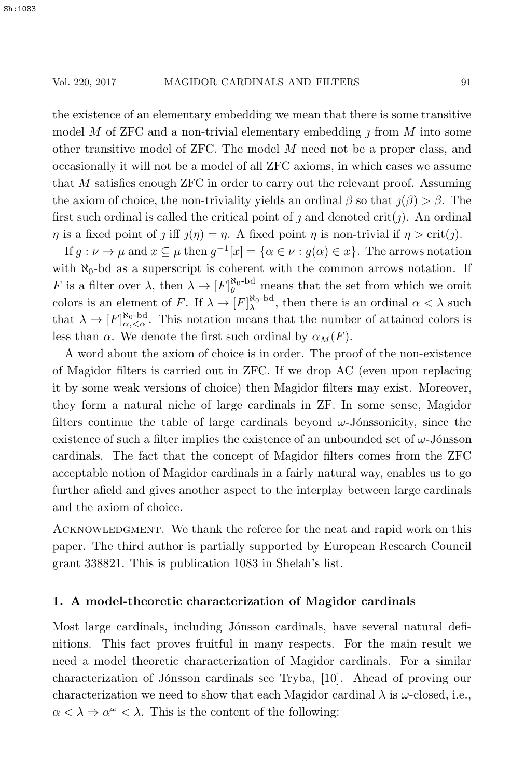the existence of an elementary embedding we mean that there is some transitive model M of ZFC and a non-trivial elementary embedding  $\jmath$  from M into some other transitive model of ZFC. The model M need not be a proper class, and occasionally it will not be a model of all ZFC axioms, in which cases we assume that M satisfies enough ZFC in order to carry out the relevant proof. Assuming the axiom of choice, the non-triviality yields an ordinal  $\beta$  so that  $\jmath(\beta) > \beta$ . The first such ordinal is called the critical point of j and denoted  $\text{crit}(j)$ . An ordinal  $\eta$  is a fixed point of j iff  $\eta(\eta) = \eta$ . A fixed point  $\eta$  is non-trivial if  $\eta > \text{crit}(\eta)$ .

If  $g: \nu \to \mu$  and  $x \subseteq \mu$  then  $g^{-1}[x] = {\alpha \in \nu : g(\alpha) \in x}$ . The arrows notation with  $\aleph_0$ -bd as a superscript is coherent with the common arrows notation. If F is a filter over  $\lambda$ , then  $\lambda \to [F]_{\theta}^{\aleph_0 - \text{bd}}$  means that the set from which we omit colors is an element of F. If  $\lambda \to [F]_{\lambda}^{\aleph_0 - \text{bd}}$ , then there is an ordinal  $\alpha < \lambda$  such that  $\lambda \to [F]_{\alpha,<\alpha}^{\aleph_0-\text{bd}}$ . This notation means that the number of attained colors is less than  $\alpha$ . We denote the first such ordinal by  $\alpha_M(F)$ .

A word about the axiom of choice is in order. The proof of the non-existence of Magidor filters is carried out in ZFC. If we drop AC (even upon replacing it by some weak versions of choice) then Magidor filters may exist. Moreover, they form a natural niche of large cardinals in ZF. In some sense, Magidor filters continue the table of large cardinals beyond  $\omega$ -Jónssonicity, since the existence of such a filter implies the existence of an unbounded set of  $\omega$ -Jónsson cardinals. The fact that the concept of Magidor filters comes from the ZFC acceptable notion of Magidor cardinals in a fairly natural way, enables us to go further afield and gives another aspect to the interplay between large cardinals and the axiom of choice.

ACKNOWLEDGMENT. We thank the referee for the neat and rapid work on this paper. The third author is partially supported by European Research Council grant 338821. This is publication 1083 in Shelah's list.

## **1. A model-theoretic characterization of Magidor cardinals**

Most large cardinals, including Jónsson cardinals, have several natural definitions. This fact proves fruitful in many respects. For the main result we need a model theoretic characterization of Magidor cardinals. For a similar characterization of Jónsson cardinals see Tryba, [10]. Ahead of proving our characterization we need to show that each Magidor cardinal  $\lambda$  is  $\omega$ -closed, i.e.,  $\alpha < \lambda \Rightarrow \alpha^{\omega} < \lambda$ . This is the content of the following: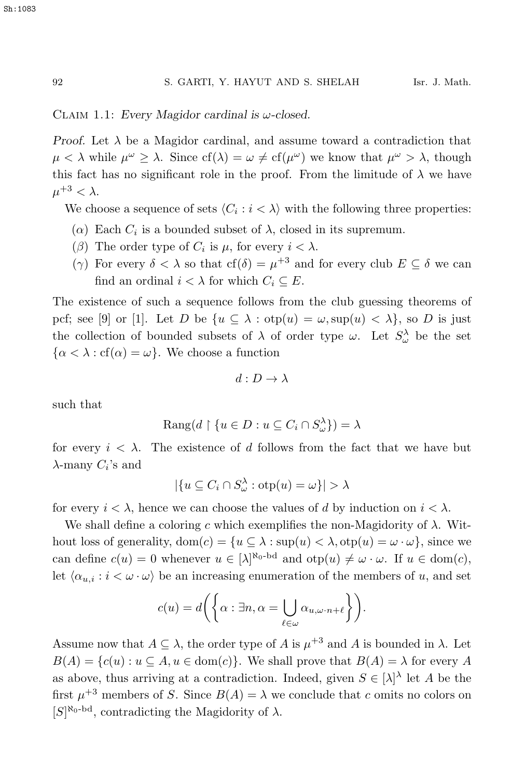Claim 1.1: *Every Magidor cardinal is* ω*-closed.*

*Proof.* Let  $\lambda$  be a Magidor cardinal, and assume toward a contradiction that  $\mu < \lambda$  while  $\mu^{\omega} \geq \lambda$ . Since cf( $\lambda$ ) =  $\omega \neq cf(\mu^{\omega})$  we know that  $\mu^{\omega} > \lambda$ , though this fact has no significant role in the proof. From the limitude of  $\lambda$  we have  $\mu^{+3} < \lambda$ .

We choose a sequence of sets  $\langle C_i : i \langle \lambda \rangle$  with the following three properties:

- ( $\alpha$ ) Each  $C_i$  is a bounded subset of  $\lambda$ , closed in its supremum.
- (β) The order type of  $C_i$  is  $\mu$ , for every  $i < \lambda$ .
- (γ) For every  $\delta < \lambda$  so that cf( $\delta$ ) =  $\mu^{+3}$  and for every club  $E \subseteq \delta$  we can find an ordinal  $i < \lambda$  for which  $C_i \subseteq E$ .

The existence of such a sequence follows from the club guessing theorems of pcf; see [9] or [1]. Let D be  $\{u \subseteq \lambda : \text{otp}(u) = \omega, \text{sup}(u) < \lambda\}$ , so D is just the collection of bounded subsets of  $\lambda$  of order type  $\omega$ . Let  $S^{\lambda}_{\omega}$  be the set  $\{\alpha < \lambda : cf(\alpha) = \omega\}$ . We choose a function

$$
d: D \to \lambda
$$

such that

$$
Rang(d \restriction \{u \in D : u \subseteq C_i \cap S_{\omega}^{\lambda}\}) = \lambda
$$

for every  $i < \lambda$ . The existence of d follows from the fact that we have but  $\lambda$ -many  $C_i$ 's and

$$
|\{u \subseteq C_i \cap S_{\omega}^{\lambda} : \text{otp}(u) = \omega\}| > \lambda
$$

for every  $i < \lambda$ , hence we can choose the values of d by induction on  $i < \lambda$ .

We shall define a coloring c which exemplifies the non-Magidority of  $\lambda$ . Without loss of generality,  $dom(c) = \{u \subseteq \lambda : sup(u) < \lambda, otp(u) = \omega \cdot \omega\}$ , since we can define  $c(u) = 0$  whenever  $u \in [\lambda]^{\aleph_0 - \mathrm{bd}}$  and  $\mathrm{otp}(u) \neq \omega \cdot \omega$ . If  $u \in \mathrm{dom}(c)$ , let  $\langle \alpha_{u,i} : i < \omega \cdot \omega \rangle$  be an increasing enumeration of the members of u, and set

$$
c(u) = d\left(\left\{\alpha : \exists n, \alpha = \bigcup_{\ell \in \omega} \alpha_{u, \omega \cdot n + \ell}\right\}\right).
$$

Assume now that  $A \subseteq \lambda$ , the order type of A is  $\mu^{+3}$  and A is bounded in  $\lambda$ . Let  $B(A) = \{c(u) : u \subseteq A, u \in \text{dom}(c)\}.$  We shall prove that  $B(A) = \lambda$  for every A as above, thus arriving at a contradiction. Indeed, given  $S \in [\lambda]^\lambda$  let A be the first  $\mu^{+3}$  members of S. Since  $B(A) = \lambda$  we conclude that c omits no colors on  $[S]^{\aleph_0-\mathrm{bd}}$ , contradicting the Magidority of  $\lambda$ .

Sh:1083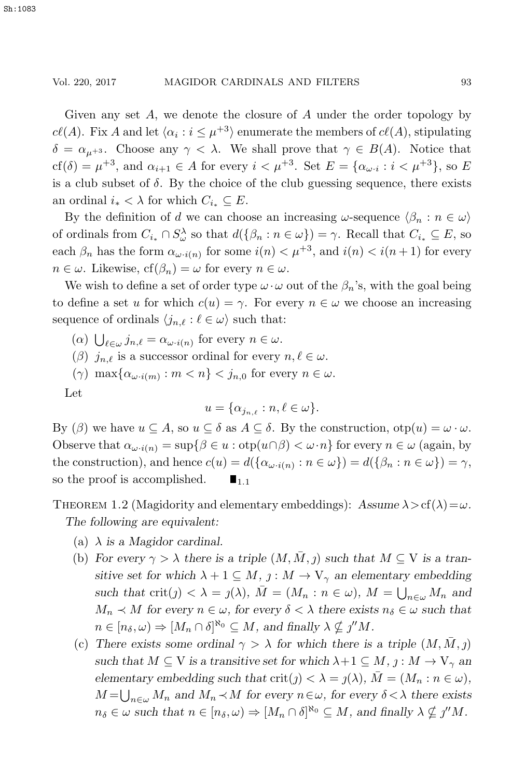Given any set  $A$ , we denote the closure of  $A$  under the order topology by  $c\ell(A)$ . Fix A and let  $\langle \alpha_i : i \leq \mu^{+3} \rangle$  enumerate the members of  $c\ell(A)$ , stipulating  $\delta = \alpha_{\mu+3}$ . Choose any  $\gamma < \lambda$ . We shall prove that  $\gamma \in B(A)$ . Notice that  $cf(\delta) = \mu^{+3}$ , and  $\alpha_{i+1} \in A$  for every  $i < \mu^{+3}$ . Set  $E = {\alpha_{\omega i} : i < \mu^{+3}}$ , so E is a club subset of  $\delta$ . By the choice of the club guessing sequence, there exists an ordinal  $i_* < \lambda$  for which  $C_{i_*} \subseteq E$ .

By the definition of d we can choose an increasing  $\omega$ -sequence  $\langle \beta_n : n \in \omega \rangle$ of ordinals from  $C_{i_*} \cap S_\omega^{\lambda}$  so that  $d(\{\beta_n : n \in \omega\}) = \gamma$ . Recall that  $C_{i_*} \subseteq E$ , so each  $\beta_n$  has the form  $\alpha_{\omega \cdot i(n)}$  for some  $i(n) < \mu^{+3}$ , and  $i(n) < i(n+1)$  for every  $n \in \omega$ . Likewise,  $cf(\beta_n) = \omega$  for every  $n \in \omega$ .

We wish to define a set of order type  $\omega \cdot \omega$  out of the  $\beta_n$ 's, with the goal being to define a set u for which  $c(u) = \gamma$ . For every  $n \in \omega$  we choose an increasing sequence of ordinals  $\langle j_{n,\ell} : \ell \in \omega \rangle$  such that:

- $(\alpha) \bigcup_{\ell \in \omega} j_{n,\ell} = \alpha_{\omega \cdot i(n)}$  for every  $n \in \omega$ .
- ( $\beta$ )  $j_{n,\ell}$  is a successor ordinal for every  $n, \ell \in \omega$ .
- $(\gamma)$  max $\{\alpha_{\omega \cdot i(m)} : m < n\} < j_{n,0}$  for every  $n \in \omega$ .

Let

$$
u = \{\alpha_{j_{n,\ell}} : n, \ell \in \omega\}.
$$

By ( $\beta$ ) we have  $u \subseteq A$ , so  $u \subseteq \delta$  as  $A \subseteq \delta$ . By the construction,  $otp(u) = \omega \cdot \omega$ . Observe that  $\alpha_{\omega \cdot i(n)} = \sup \{ \beta \in u : \text{otp}(u \cap \beta) < \omega \cdot n \}$  for every  $n \in \omega$  (again, by the construction), and hence  $c(u) = d(\{\alpha_{\omega \cdot i(n)} : n \in \omega\}) = d(\{\beta_n : n \in \omega\}) = \gamma$ , so the proof is accomplished.  $\blacksquare_{1,1}$ 

THEOREM 1.2 (Magidority and elementary embeddings):  $Assume \lambda > cf(\lambda) = \omega$ . *The following are equivalent:*

- (a) λ *is a Magidor cardinal.*
- (b) *For every*  $\gamma > \lambda$  *there is a triple*  $(M, M, j)$  *such that*  $M \subseteq V$  *is a transitive set for which*  $\lambda + 1 \subseteq M$ ,  $j : M \to V_{\gamma}$  *an elementary embedding* such that  $\text{crit}(j) < \lambda = j(\lambda)$ ,  $\overline{M} = (M_n : n \in \omega)$ ,  $M = \bigcup_{n \in \omega} M_n$  and  $M_n \prec M$  for every  $n \in \omega$ , for every  $\delta < \lambda$  there exists  $n_{\delta} \in \omega$  such that  $n \in [n_{\delta}, \omega) \Rightarrow [M_n \cap \delta]^{\aleph_0} \subseteq M$ , and finally  $\lambda \nsubseteq j''M$ .
- (c) There exists some ordinal  $\gamma > \lambda$  for which there is a triple  $(M, \overline{M}, j)$ *such that*  $M \subseteq V$  *is a transitive set for which*  $\lambda + 1 \subseteq M$ ,  $j : M \to V_{\gamma}$  *an elementary embedding such that*  $crit(j) < \lambda = j(\lambda)$ ,  $M = (M_n : n \in \omega)$ ,  $M = \bigcup_{n \in \omega} M_n$  and  $M_n \prec M$  for every  $n \in \omega$ , for every  $\delta < \lambda$  there exists  $n_{\delta} \in \omega$  such that  $n \in [n_{\delta}, \omega) \Rightarrow [M_n \cap \delta]^{\aleph_0} \subseteq M$ , and finally  $\lambda \nsubseteq j''M$ .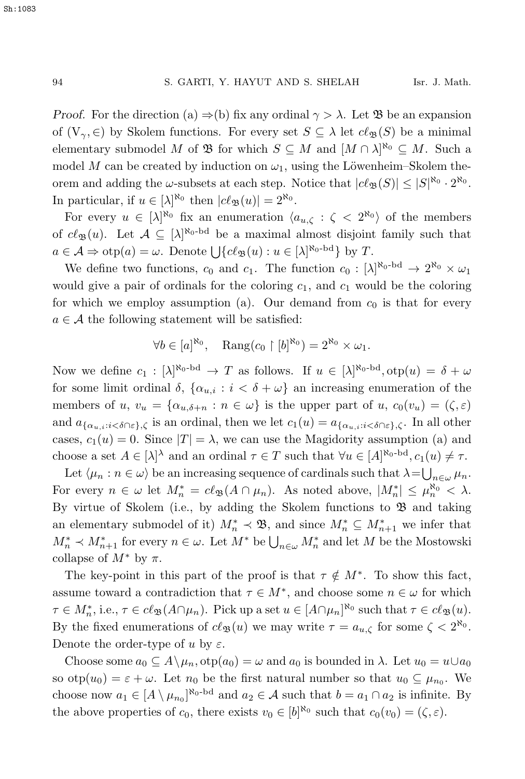*Proof.* For the direction (a)  $\Rightarrow$  (b) fix any ordinal  $\gamma > \lambda$ . Let  $\mathfrak{B}$  be an expansion of  $(V_\gamma, \in)$  by Skolem functions. For every set  $S \subseteq \lambda$  let  $c\ell_{\mathfrak{B}}(S)$  be a minimal elementary submodel M of  $\mathfrak{B}$  for which  $S \subseteq M$  and  $[M \cap \lambda]^{\aleph_0} \subseteq M$ . Such a model M can be created by induction on  $\omega_1$ , using the Löwenheim–Skolem theorem and adding the  $\omega$ -subsets at each step. Notice that  $|c\ell_{\mathfrak{B}}(S)| \leq |S|^{\aleph_0} \cdot 2^{\aleph_0}$ . In particular, if  $u \in [\lambda]^{\aleph_0}$  then  $|c\ell_{\mathfrak{B}}(u)| = 2^{\aleph_0}$ .

For every  $u \in [\lambda]^{\aleph_0}$  fix an enumeration  $\langle a_{u,\zeta} : \zeta \langle 2^{\aleph_0} \rangle$  of the members of  $c\ell_{\mathfrak{B}}(u)$ . Let  $\mathcal{A} \subseteq [\lambda]^{\aleph_0 - \mathrm{bd}}$  be a maximal almost disjoint family such that  $a \in \mathcal{A} \Rightarrow \text{otp}(a) = \omega$ . Denote  $\bigcup \{c\ell_{\mathfrak{B}}(u) : u \in [\lambda]^{\aleph_0 - \text{bd}}\}$  by T.

We define two functions,  $c_0$  and  $c_1$ . The function  $c_0 : [\lambda]^{R_0 - bd} \to 2^{R_0} \times \omega_1$ would give a pair of ordinals for the coloring  $c_1$ , and  $c_1$  would be the coloring for which we employ assumption (a). Our demand from  $c_0$  is that for every  $a \in \mathcal{A}$  the following statement will be satisfied:

$$
\forall b \in [a]^{\aleph_0}, \quad \text{Rang}(c_0 \upharpoonright [b]^{\aleph_0}) = 2^{\aleph_0} \times \omega_1.
$$

Now we define  $c_1 : [\lambda]^{\aleph_0 - \mathrm{bd}} \to T$  as follows. If  $u \in [\lambda]^{\aleph_0 - \mathrm{bd}}$ ,  $\mathrm{otp}(u) = \delta + \omega$ for some limit ordinal  $\delta$ ,  $\{\alpha_{u,i} : i < \delta + \omega\}$  an increasing enumeration of the members of  $u, v_u = {\alpha_{u,\delta+n} : n \in \omega}$  is the upper part of  $u, c_0(v_u) = (\zeta, \varepsilon)$ and  $a_{\{\alpha_{u,i}:i\leq \delta\cap \varepsilon\},\zeta}$  is an ordinal, then we let  $c_1(u) = a_{\{\alpha_{u,i}:i\leq \delta\cap \varepsilon\},\zeta}$ . In all other cases,  $c_1(u) = 0$ . Since  $|T| = \lambda$ , we can use the Magidority assumption (a) and choose a set  $A \in [\lambda]^\lambda$  and an ordinal  $\tau \in T$  such that  $\forall u \in [A]^{\aleph_0 - \text{bd}}, c_1(u) \neq \tau$ .

Let  $\langle \mu_n : n \in \omega \rangle$  be an increasing sequence of cardinals such that  $\lambda = \bigcup_{n \in \omega} \mu_n$ . For every  $n \in \omega$  let  $M_n^* = c\ell_{\mathfrak{B}}(A \cap \mu_n)$ . As noted above,  $|M_n^*| \leq \mu_n^{\aleph_0} < \lambda$ . By virtue of Skolem (i.e., by adding the Skolem functions to  $\mathfrak B$  and taking an elementary submodel of it)  $M_n^* \prec \mathfrak{B}$ , and since  $M_n^* \subseteq M_{n+1}^*$  we infer that  $M_n^*$  ≺  $M_{n+1}^*$  for every  $n \in \omega$ . Let  $M^*$  be  $\bigcup_{n \in \omega} M_n^*$  and let  $M$  be the Mostowski collapse of  $M^*$  by  $\pi$ .

The key-point in this part of the proof is that  $\tau \notin M^*$ . To show this fact, assume toward a contradiction that  $\tau \in M^*$ , and choose some  $n \in \omega$  for which  $\tau \in M_n^*$ , i.e.,  $\tau \in cl_{\mathfrak{B}}(A \cap \mu_n)$ . Pick up a set  $u \in [A \cap \mu_n]^{\aleph_0}$  such that  $\tau \in cl_{\mathfrak{B}}(u)$ . By the fixed enumerations of  $c\ell_{\mathfrak{B}}(u)$  we may write  $\tau = a_{u,\zeta}$  for some  $\zeta < 2^{\aleph_0}$ . Denote the order-type of u by  $\varepsilon$ .

Choose some  $a_0 \subseteq A \setminus \mu_n$ ,  $otp(a_0) = \omega$  and  $a_0$  is bounded in  $\lambda$ . Let  $u_0 = u \cup a_0$ so  $otp(u_0) = \varepsilon + \omega$ . Let  $n_0$  be the first natural number so that  $u_0 \subseteq \mu_{n_0}$ . We choose now  $a_1 \in [A \setminus \mu_{n_0}]^{\aleph_0 - \mathrm{bd}}$  and  $a_2 \in \mathcal{A}$  such that  $b = a_1 \cap a_2$  is infinite. By the above properties of  $c_0$ , there exists  $v_0 \in [b]^{\aleph_0}$  such that  $c_0(v_0) = (\zeta, \varepsilon)$ .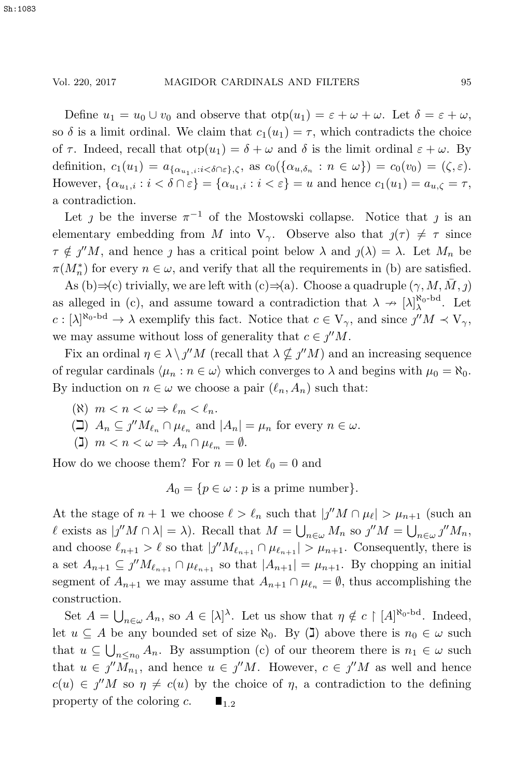Define  $u_1 = u_0 \cup v_0$  and observe that  $otp(u_1) = \varepsilon + \omega + \omega$ . Let  $\delta = \varepsilon + \omega$ , so  $\delta$  is a limit ordinal. We claim that  $c_1(u_1) = \tau$ , which contradicts the choice of  $\tau$ . Indeed, recall that  $otp(u_1) = \delta + \omega$  and  $\delta$  is the limit ordinal  $\varepsilon + \omega$ . By definition,  $c_1(u_1) = a_{\{\alpha_{u+1}:i\leq \delta \cap \varepsilon\},\zeta}$ , as  $c_0(\{\alpha_{u,\delta_n}:n\in\omega\}) = c_0(v_0) = (\zeta,\varepsilon).$ However,  $\{\alpha_{u_1,i} : i < \delta \cap \varepsilon\} = \{\alpha_{u_1,i} : i < \varepsilon\} = u$  and hence  $c_1(u_1) = a_{u,\zeta} = \tau$ , a contradiction.

Let j be the inverse  $\pi^{-1}$  of the Mostowski collapse. Notice that j is an elementary embedding from M into V<sub>γ</sub>. Observe also that  $j(\tau) \neq \tau$  since  $\tau \notin j^{\prime\prime}M$ , and hence j has a critical point below  $\lambda$  and  $j(\lambda) = \lambda$ . Let  $M_n$  be  $\pi(M_n^*)$  for every  $n \in \omega$ , and verify that all the requirements in (b) are satisfied.

As (b)⇒(c) trivially, we are left with  $(c) \Rightarrow (a)$ . Choose a quadruple  $(\gamma, M, \overline{M}, j)$ as alleged in (c), and assume toward a contradiction that  $\lambda \to [\lambda]_{\lambda}^{\aleph_0 - \text{bd}}$ . Let  $c : [\lambda]^{\aleph_0 - \mathrm{bd}} \to \lambda$  exemplify this fact. Notice that  $c \in V_\gamma$ , and since  $j''M \prec V_\gamma$ , we may assume without loss of generality that  $c \in \jmath^{\prime\prime} M$ .

Fix an ordinal  $\eta \in \lambda \setminus j''M$  (recall that  $\lambda \nsubseteq j''M$ ) and an increasing sequence of regular cardinals  $\langle \mu_n : n \in \omega \rangle$  which converges to  $\lambda$  and begins with  $\mu_0 = \aleph_0$ . By induction on  $n \in \omega$  we choose a pair  $(\ell_n, A_n)$  such that:

- ( $\aleph$ )  $m < n < \omega \Rightarrow \ell_m < \ell_n$ .
- ( $\Box$ )  $A_n \subseteq j''M_{\ell_n} \cap \mu_{\ell_n}$  and  $|A_n| = \mu_n$  for every  $n \in \omega$ .
- (**1**)  $m < n < \omega \Rightarrow A_n \cap \mu_{\ell_m} = \emptyset$ .

How do we choose them? For  $n = 0$  let  $\ell_0 = 0$  and

 $A_0 = \{p \in \omega : p \text{ is a prime number}\}.$ 

At the stage of  $n + 1$  we choose  $\ell > \ell_n$  such that  $|j''M \cap \mu_{\ell}| > \mu_{n+1}$  (such an  $\ell$  exists as  $|j''M \cap \lambda| = \lambda$ ). Recall that  $M = \bigcup_{n \in \omega} M_n$  so  $j''M = \bigcup_{n \in \omega} j''M_n$ , and choose  $\ell_{n+1} > \ell$  so that  $|j''M_{\ell_{n+1}} \cap \mu_{\ell_{n+1}}| > \mu_{n+1}$ . Consequently, there is a set  $A_{n+1} \subseteq \jmath'' M_{\ell_{n+1}} \cap \mu_{\ell_{n+1}}$  so that  $|A_{n+1}| = \mu_{n+1}$ . By chopping an initial segment of  $A_{n+1}$  we may assume that  $A_{n+1} \cap \mu_{\ell_n} = \emptyset$ , thus accomplishing the construction.

Set  $A = \bigcup_{n \in \omega} A_n$ , so  $A \in [\lambda]^\lambda$ . Let us show that  $\eta \notin c \restriction [A]^{\aleph_0 - \text{bd}}$ . Indeed, let  $u \subseteq A$  be any bounded set of size  $\aleph_0$ . By (I) above there is  $n_0 \in \omega$  such that  $u \subseteq \bigcup_{n \leq n_0} A_n$ . By assumption (c) of our theorem there is  $n_1 \in \omega$  such that  $u \in j''M_{n_1}$ , and hence  $u \in j''M$ . However,  $c \in j''M$  as well and hence  $c(u) \in \jmath^{\prime\prime}M$  so  $\eta \neq c(u)$  by the choice of  $\eta$ , a contradiction to the defining property of the coloring  $c$ .  $\blacksquare$ <sub>1.2</sub>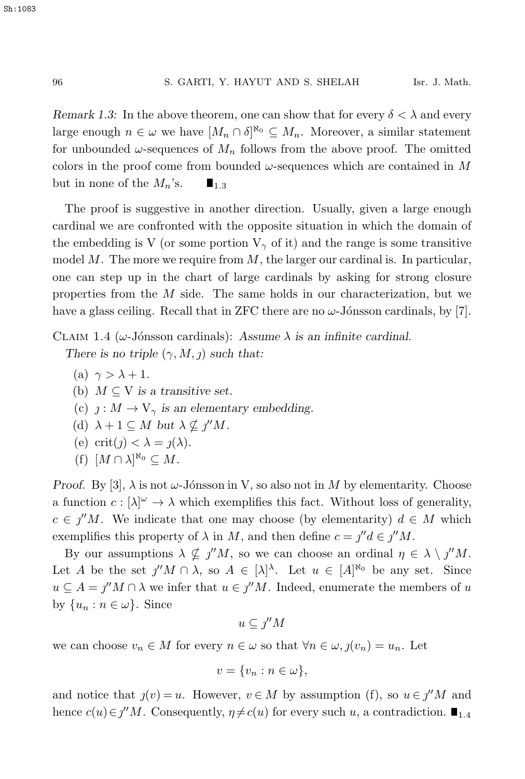*Remark 1.3:* In the above theorem, one can show that for every  $\delta < \lambda$  and every large enough  $n \in \omega$  we have  $[M_n \cap \delta]^{R_0} \subseteq M_n$ . Moreover, a similar statement for unbounded  $\omega$ -sequences of  $M_n$  follows from the above proof. The omitted colors in the proof come from bounded  $\omega$ -sequences which are contained in M but in none of the  $M_n$ 's.  $\blacksquare_{1,3}$ 

The proof is suggestive in another direction. Usually, given a large enough cardinal we are confronted with the opposite situation in which the domain of the embedding is V (or some portion  $V_{\gamma}$  of it) and the range is some transitive model  $M$ . The more we require from  $M$ , the larger our cardinal is. In particular, one can step up in the chart of large cardinals by asking for strong closure properties from the M side. The same holds in our characterization, but we have a glass ceiling. Recall that in ZFC there are no  $\omega$ -Jónsson cardinals, by [7].

CLAIM 1.4 ( $\omega$ -Jónsson cardinals): Assume  $\lambda$  *is an infinite cardinal. There is no triple*  $(\gamma, M, \gamma)$  *such that:* 

- (a)  $\gamma > \lambda + 1$ .
- (b)  $M \subseteq V$  *is a transitive set.*
- (c)  $j : M \to V_\gamma$  *is an elementary embedding.*
- (d)  $\lambda + 1 \subseteq M$  *but*  $\lambda \nsubseteq \gamma^{\prime\prime}M$ .
- (e) crit( $j$ ) <  $\lambda = j(\lambda)$ *.*
- (f)  $[M \cap \lambda]^{\aleph_0} \subseteq M$ .

*Proof.* By [3],  $\lambda$  is not  $\omega$ -Jónsson in V, so also not in M by elementarity. Choose a function  $c : [\lambda]^\omega \to \lambda$  which exemplifies this fact. Without loss of generality,  $c \in \jmath''M$ . We indicate that one may choose (by elementarity)  $d \in M$  which exemplifies this property of  $\lambda$  in M, and then define  $c = \iint d\xi$  =  $\iint M$ .

By our assumptions  $\lambda \nsubseteq \gamma^{\prime\prime}M$ , so we can choose an ordinal  $\eta \in \lambda \setminus \gamma^{\prime\prime}M$ . Let A be the set  $j''M \cap \lambda$ , so  $A \in [\lambda]^{\lambda}$ . Let  $u \in [A]^{\aleph_0}$  be any set. Since  $u \nsubseteq A = \gamma'' M \cap \lambda$  we infer that  $u \in \gamma'' M$ . Indeed, enumerate the members of u by  $\{u_n : n \in \omega\}$ . Since

$$
u\subseteq j''M
$$

we can choose  $v_n \in M$  for every  $n \in \omega$  so that  $\forall n \in \omega, j(v_n) = u_n$ . Let

$$
v = \{v_n : n \in \omega\},\
$$

and notice that  $j(v) = u$ . However,  $v \in M$  by assumption (f), so  $u \in j^{\prime\prime}M$  and hence  $c(u) \in \jmath^{\prime\prime} M$ . Consequently,  $\eta \neq c(u)$  for every such u, a contradiction.  $\blacksquare_{1,4}$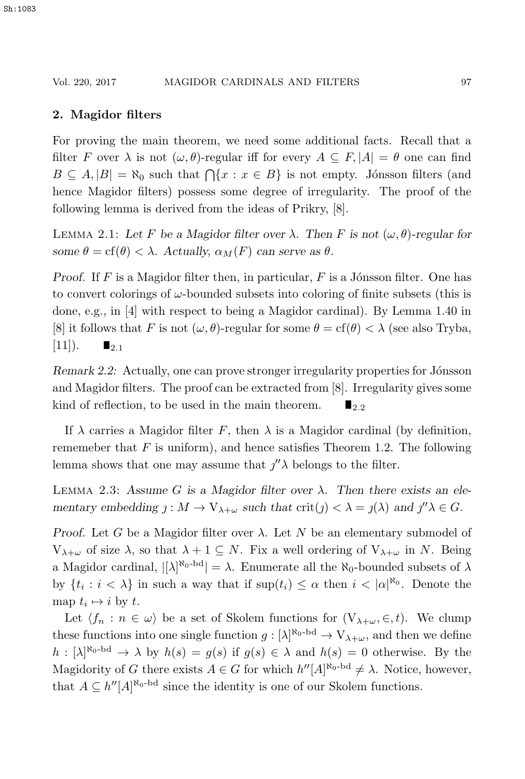## **2. Magidor filters**

For proving the main theorem, we need some additional facts. Recall that a filter F over  $\lambda$  is not  $(\omega, \theta)$ -regular iff for every  $A \subseteq F$ ,  $|A| = \theta$  one can find  $B \subseteq A, |B| = \aleph_0$  such that  $\bigcap \{x : x \in B\}$  is not empty. Jónsson filters (and hence Magidor filters) possess some degree of irregularity. The proof of the following lemma is derived from the ideas of Prikry, [8].

LEMMA 2.1: Let F be a Magidor filter over  $\lambda$ . Then F is not  $(\omega, \theta)$ -regular for *some*  $\theta = \text{cf}(\theta) < \lambda$ *. Actually,*  $\alpha_M(F)$  *can serve as*  $\theta$ *.* 

*Proof.* If  $F$  is a Magidor filter then, in particular,  $F$  is a Jónsson filter. One has to convert colorings of  $\omega$ -bounded subsets into coloring of finite subsets (this is done, e.g., in [4] with respect to being a Magidor cardinal). By Lemma 1.40 in [8] it follows that F is not  $(\omega, \theta)$ -regular for some  $\theta = \text{cf}(\theta) < \lambda$  (see also Tryba,  $[11]$ ).  $\blacksquare_{2.1}$ 

*Remark 2.2:* Actually, one can prove stronger irregularity properties for Jónsson and Magidor filters. The proof can be extracted from [8]. Irregularity gives some kind of reflection, to be used in the main theorem.  $\blacksquare$ <sub>2.2</sub>

If  $\lambda$  carries a Magidor filter F, then  $\lambda$  is a Magidor cardinal (by definition, rememeber that  $F$  is uniform), and hence satisfies Theorem 1.2. The following lemma shows that one may assume that  $j''\lambda$  belongs to the filter.

LEMMA 2.3: Assume G is a Magidor filter over  $\lambda$ . Then there exists an ele*mentary embedding*  $j : M \to V_{\lambda+\omega}$  *such that*  $\text{crit}(j) < \lambda = j(\lambda)$  *and*  $j''\lambda \in G$ *.* 

*Proof.* Let G be a Magidor filter over  $\lambda$ . Let N be an elementary submodel of  $V_{\lambda+\omega}$  of size  $\lambda$ , so that  $\lambda+1\subseteq N$ . Fix a well ordering of  $V_{\lambda+\omega}$  in N. Being a Magidor cardinal,  $\left[\lambda\right]^{\aleph_0 - bd} = \lambda$ . Enumerate all the  $\aleph_0$ -bounded subsets of  $\lambda$ by  $\{t_i : i < \lambda\}$  in such a way that if  $\sup(t_i) \leq \alpha$  then  $i < |\alpha|^{\aleph_0}$ . Denote the map  $t_i \mapsto i$  by t.

Let  $\langle f_n : n \in \omega \rangle$  be a set of Skolem functions for  $(V_{\lambda+\omega}, \in, t)$ . We clump these functions into one single function  $g: [\lambda]^{\aleph_0 - \mathrm{bd}} \to \mathrm{V}_{\lambda+\omega}$ , and then we define  $h : [\lambda]^{R_0-bd} \to \lambda$  by  $h(s) = g(s)$  if  $g(s) \in \lambda$  and  $h(s) = 0$  otherwise. By the Magidority of G there exists  $A \in G$  for which  $h''[A]^{\aleph_0 - \text{bd}} \neq \lambda$ . Notice, however, that  $A \subseteq h''[A]^{\aleph_0-\mathrm{bd}}$  since the identity is one of our Skolem functions.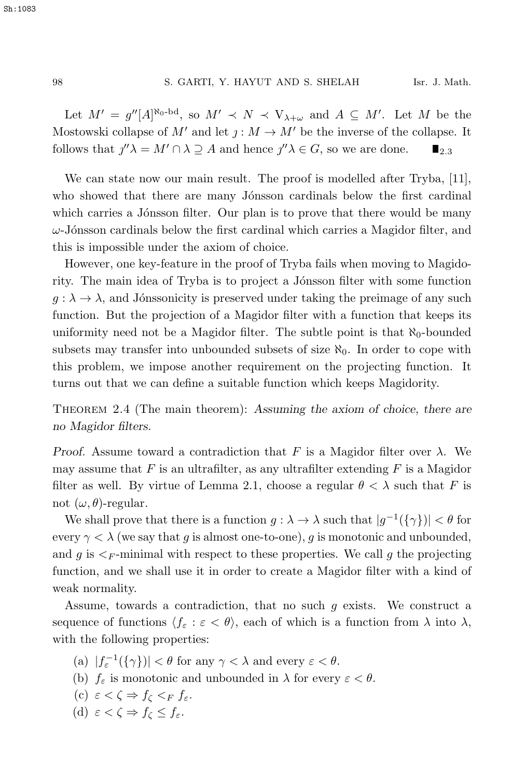Let  $M' = g''[A]^{\aleph_0 - bd}$ , so  $M' \prec N \prec V_{\lambda + \omega}$  and  $A \subseteq M'$ . Let M be the Mostowski collapse of M' and let  $j : M \to M'$  be the inverse of the collapse. It follows that  $j''\lambda = M' \cap \lambda \supseteq A$  and hence  $j''\lambda \in G$ , so we are done.  $\blacksquare_{2.3}$ 

We can state now our main result. The proof is modelled after Tryba, [11], who showed that there are many Jónsson cardinals below the first cardinal which carries a Jónsson filter. Our plan is to prove that there would be many  $\omega$ -Jónsson cardinals below the first cardinal which carries a Magidor filter, and this is impossible under the axiom of choice.

However, one key-feature in the proof of Tryba fails when moving to Magidority. The main idea of Tryba is to project a Jónsson filter with some function  $g: \lambda \to \lambda$ , and Jónssonicity is preserved under taking the preimage of any such function. But the projection of a Magidor filter with a function that keeps its uniformity need not be a Magidor filter. The subtle point is that  $\aleph_0$ -bounded subsets may transfer into unbounded subsets of size  $\aleph_0$ . In order to cope with this problem, we impose another requirement on the projecting function. It turns out that we can define a suitable function which keeps Magidority.

Theorem 2.4 (The main theorem): *Assuming the axiom of choice, there are no Magidor filters.*

*Proof.* Assume toward a contradiction that F is a Magidor filter over  $\lambda$ . We may assume that F is an ultrafilter, as any ultrafilter extending  $F$  is a Magidor filter as well. By virtue of Lemma 2.1, choose a regular  $\theta < \lambda$  such that F is not  $(\omega, \theta)$ -regular.

We shall prove that there is a function  $g : \lambda \to \lambda$  such that  $|g^{-1}(\{\gamma\})| < \theta$  for every  $\gamma < \lambda$  (we say that g is almost one-to-one), g is monotonic and unbounded, and g is  $\leq_F$ -minimal with respect to these properties. We call g the projecting function, and we shall use it in order to create a Magidor filter with a kind of weak normality.

Assume, towards a contradiction, that no such  $g$  exists. We construct a sequence of functions  $\langle f_\varepsilon : \varepsilon < \theta \rangle$ , each of which is a function from  $\lambda$  into  $\lambda$ , with the following properties:

- (a)  $|f_{\varepsilon}^{-1}(\{\gamma\})| < \theta$  for any  $\gamma < \lambda$  and every  $\varepsilon < \theta$ .
- (b)  $f_{\varepsilon}$  is monotonic and unbounded in  $\lambda$  for every  $\varepsilon < \theta$ .
- (c)  $\varepsilon < \zeta \Rightarrow f_{\zeta} <_F f_{\varepsilon}$ .
- (d)  $\varepsilon < \zeta \Rightarrow f_{\zeta} \leq f_{\varepsilon}$ .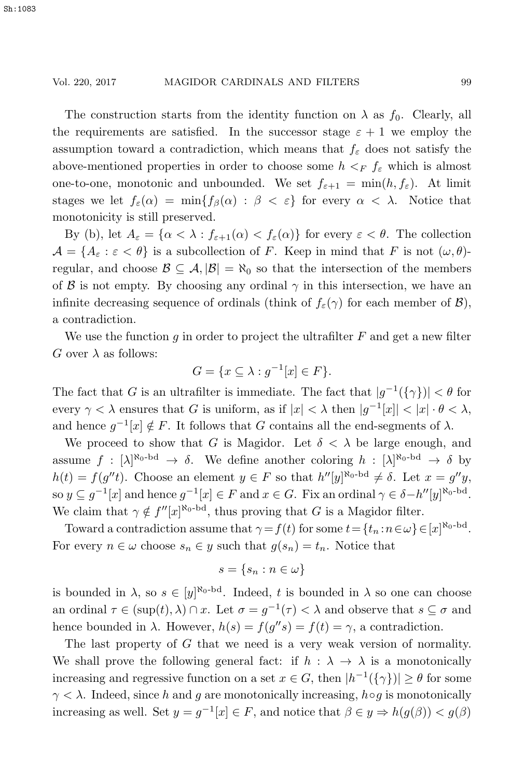The construction starts from the identity function on  $\lambda$  as  $f_0$ . Clearly, all the requirements are satisfied. In the successor stage  $\varepsilon + 1$  we employ the assumption toward a contradiction, which means that  $f_{\varepsilon}$  does not satisfy the above-mentioned properties in order to choose some  $h \leq_F f_{\varepsilon}$  which is almost one-to-one, monotonic and unbounded. We set  $f_{\varepsilon+1} = \min(h, f_{\varepsilon})$ . At limit stages we let  $f_{\varepsilon}(\alpha) = \min\{f_{\beta}(\alpha) : \beta < \varepsilon\}$  for every  $\alpha < \lambda$ . Notice that monotonicity is still preserved.

By (b), let  $A_{\varepsilon} = {\alpha < \lambda : f_{\varepsilon+1}(\alpha) < f_{\varepsilon}(\alpha)}$  for every  $\varepsilon < \theta$ . The collection  $\mathcal{A} = \{A_{\varepsilon} : \varepsilon < \theta\}$  is a subcollection of F. Keep in mind that F is not  $(\omega, \theta)$ regular, and choose  $\mathcal{B} \subseteq \mathcal{A}, |\mathcal{B}| = \aleph_0$  so that the intersection of the members of  $\beta$  is not empty. By choosing any ordinal  $\gamma$  in this intersection, we have an infinite decreasing sequence of ordinals (think of  $f_{\varepsilon}(\gamma)$  for each member of  $\mathcal{B}$ ), a contradiction.

We use the function g in order to project the ultrafilter  $F$  and get a new filter G over  $\lambda$  as follows:

$$
G = \{ x \subseteq \lambda : g^{-1}[x] \in F \}.
$$

The fact that G is an ultrafilter is immediate. The fact that  $|g^{-1}(\{\gamma\})| < \theta$  for every  $\gamma < \lambda$  ensures that G is uniform, as if  $|x| < \lambda$  then  $|g^{-1}[x]| < |x| \cdot \theta < \lambda$ , and hence  $g^{-1}[x] \notin F$ . It follows that G contains all the end-segments of  $\lambda$ .

We proceed to show that G is Magidor. Let  $\delta < \lambda$  be large enough, and assume  $f : [\lambda]^{\aleph_0 - \mathrm{bd}} \to \delta$ . We define another coloring  $h : [\lambda]^{\aleph_0 - \mathrm{bd}} \to \delta$  by  $h(t) = f(g''t)$ . Choose an element  $y \in F$  so that  $h''[y]^{\aleph_0 - \text{bd}} \neq \delta$ . Let  $x = g''y$ , so  $y \n\t\subseteq g^{-1}[x]$  and hence  $g^{-1}[x] \in F$  and  $x \in G$ . Fix an ordinal  $\gamma \in \delta - h''[y]^{\aleph_0 - \mathbf{bd}}$ . We claim that  $\gamma \notin f''[x]^{\aleph_0-\text{bd}}$ , thus proving that G is a Magidor filter.

Toward a contradiction assume that  $\gamma = f(t)$  for some  $t = \{t_n : n \in \omega\} \in [x]^{\aleph_0 - \text{bd}}$ . For every  $n \in \omega$  choose  $s_n \in y$  such that  $g(s_n) = t_n$ . Notice that

$$
s = \{s_n : n \in \omega\}
$$

is bounded in  $\lambda$ , so  $s \in [y]^{\aleph_0 - bd}$ . Indeed, t is bounded in  $\lambda$  so one can choose an ordinal  $\tau \in (\text{sup}(t), \lambda) \cap x$ . Let  $\sigma = g^{-1}(\tau) < \lambda$  and observe that  $s \subseteq \sigma$  and hence bounded in  $\lambda$ . However,  $h(s) = f(g''s) = f(t) = \gamma$ , a contradiction.

The last property of G that we need is a very weak version of normality. We shall prove the following general fact: if  $h : \lambda \to \lambda$  is a monotonically increasing and regressive function on a set  $x \in G$ , then  $|h^{-1}(\{\gamma\})| \ge \theta$  for some  $\gamma < \lambda$ . Indeed, since h and g are monotonically increasing, h∘g is monotonically increasing as well. Set  $y = g^{-1}[x] \in F$ , and notice that  $\beta \in y \Rightarrow h(g(\beta)) < g(\beta)$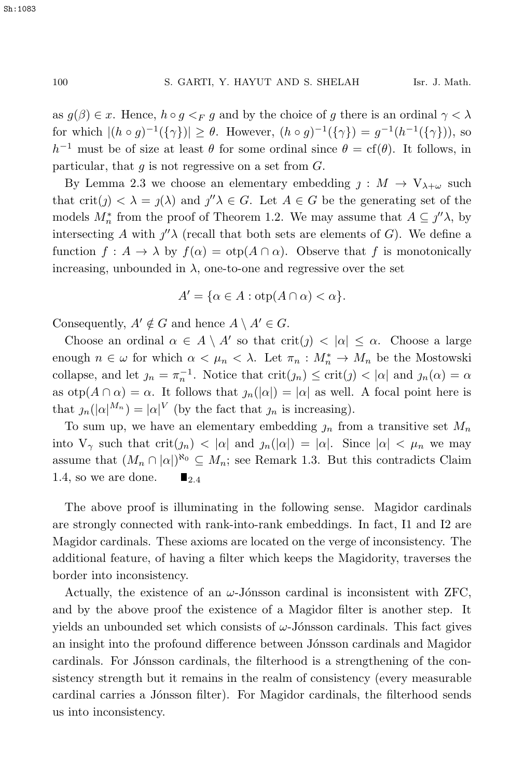as  $g(\beta) \in \mathcal{X}$ . Hence,  $h \circ g \leq_F g$  and by the choice of g there is an ordinal  $\gamma < \lambda$ for which  $|(h \circ g)^{-1}(\{\gamma\})| \ge \theta$ . However,  $(h \circ g)^{-1}(\{\gamma\}) = g^{-1}(h^{-1}(\{\gamma\}))$ , so  $h^{-1}$  must be of size at least  $\theta$  for some ordinal since  $\theta = cf(\theta)$ . It follows, in particular, that  $q$  is not regressive on a set from  $G$ .

By Lemma 2.3 we choose an elementary embedding  $j : M \to V_{\lambda+\omega}$  such that crit(j)  $\langle \lambda = j(\lambda) \rangle$  and  $j''\lambda \in G$ . Let  $A \in G$  be the generating set of the models  $M_n^*$  from the proof of Theorem 1.2. We may assume that  $A \subseteq \jmath''\lambda$ , by intersecting A with  $j''\lambda$  (recall that both sets are elements of G). We define a function  $f : A \to \lambda$  by  $f(\alpha) = \text{otp}(A \cap \alpha)$ . Observe that f is monotonically increasing, unbounded in  $\lambda$ , one-to-one and regressive over the set

$$
A' = \{ \alpha \in A : \text{otp}(A \cap \alpha) < \alpha \}.
$$

Consequently,  $A' \notin G$  and hence  $A \setminus A' \in G$ .

Choose an ordinal  $\alpha \in A \setminus A'$  so that  $\text{crit}(j) < |\alpha| \leq \alpha$ . Choose a large enough  $n \in \omega$  for which  $\alpha < \mu_n < \lambda$ . Let  $\pi_n : M_n^* \to M_n$  be the Mostowski collapse, and let  $j_n = \pi_n^{-1}$ . Notice that  $\text{crit}(j_n) \leq \text{crit}(j) < |\alpha|$  and  $j_n(\alpha) = \alpha$ as  $otp(A \cap \alpha) = \alpha$ . It follows that  $\eta_n(|\alpha|) = |\alpha|$  as well. A focal point here is that  $\mathfrak{z}_n(|\alpha|^{M_n}) = |\alpha|^V$  (by the fact that  $\mathfrak{z}_n$  is increasing).

To sum up, we have an elementary embedding  $j_n$  from a transitive set  $M_n$ into  $V_{\gamma}$  such that  $\text{crit}(j_n) < |\alpha|$  and  $j_n(|\alpha|) = |\alpha|$ . Since  $|\alpha| < \mu_n$  we may assume that  $(M_n \cap |\alpha|)^{\aleph_0} \subseteq M_n$ ; see Remark 1.3. But this contradicts Claim 1.4, so we are done.  $\blacksquare$ 

The above proof is illuminating in the following sense. Magidor cardinals are strongly connected with rank-into-rank embeddings. In fact, I1 and I2 are Magidor cardinals. These axioms are located on the verge of inconsistency. The additional feature, of having a filter which keeps the Magidority, traverses the border into inconsistency.

Actually, the existence of an  $\omega$ -Jónsson cardinal is inconsistent with ZFC, and by the above proof the existence of a Magidor filter is another step. It yields an unbounded set which consists of  $\omega$ -Jónsson cardinals. This fact gives an insight into the profound difference between Jónsson cardinals and Magidor cardinals. For Jónsson cardinals, the filterhood is a strengthening of the consistency strength but it remains in the realm of consistency (every measurable cardinal carries a Jónsson filter). For Magidor cardinals, the filterhood sends us into inconsistency.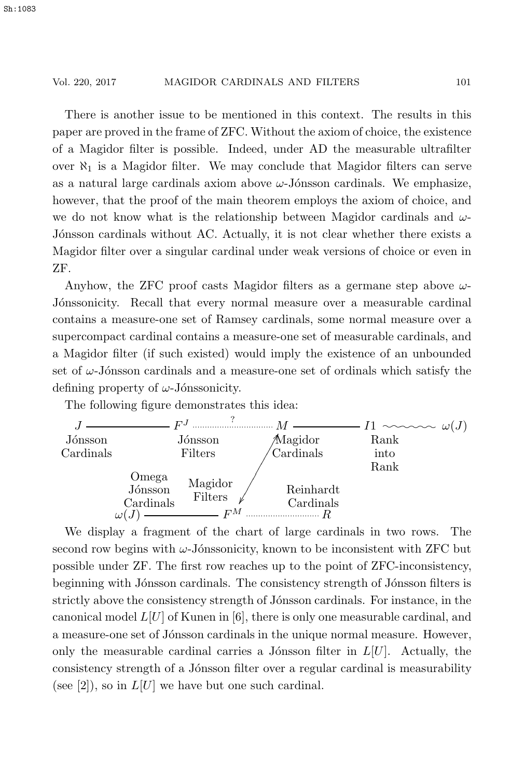There is another issue to be mentioned in this context. The results in this paper are proved in the frame of ZFC. Without the axiom of choice, the existence of a Magidor filter is possible. Indeed, under AD the measurable ultrafilter over  $\aleph_1$  is a Magidor filter. We may conclude that Magidor filters can serve as a natural large cardinals axiom above  $\omega$ -Jónsson cardinals. We emphasize, however, that the proof of the main theorem employs the axiom of choice, and we do not know what is the relationship between Magidor cardinals and  $\omega$ -Jónsson cardinals without AC. Actually, it is not clear whether there exists a Magidor filter over a singular cardinal under weak versions of choice or even in ZF.

Anyhow, the ZFC proof casts Magidor filters as a germane step above  $\omega$ -Jónssonicity. Recall that every normal measure over a measurable cardinal contains a measure-one set of Ramsey cardinals, some normal measure over a supercompact cardinal contains a measure-one set of measurable cardinals, and a Magidor filter (if such existed) would imply the existence of an unbounded set of  $\omega$ -Jónsson cardinals and a measure-one set of ordinals which satisfy the defining property of  $\omega$ -Jónssonicity.

The following figure demonstrates this idea:



We display a fragment of the chart of large cardinals in two rows. The second row begins with  $\omega$ -Jónssonicity, known to be inconsistent with ZFC but possible under ZF. The first row reaches up to the point of ZFC-inconsistency, beginning with Jónsson cardinals. The consistency strength of Jónsson filters is strictly above the consistency strength of Jónsson cardinals. For instance, in the canonical model  $L[U]$  of Kunen in [6], there is only one measurable cardinal, and a measure-one set of Jónsson cardinals in the unique normal measure. However, only the measurable cardinal carries a Jónsson filter in  $L[U]$ . Actually, the consistency strength of a Jónsson filter over a regular cardinal is measurability (see [2]), so in  $L[U]$  we have but one such cardinal.